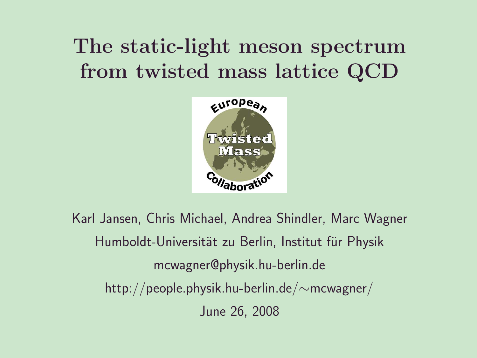## The static-light meson spectrum from twisted mass lattice QCD



Karl Jansen, Chris Michael, Andrea Shindler, Marc Wagner Humboldt-Universität zu Berlin, Institut für Physik mcwagner@physik.hu-berlin.de http://people.physik.hu-berlin.de/∼mcwagner/ June 26, 2008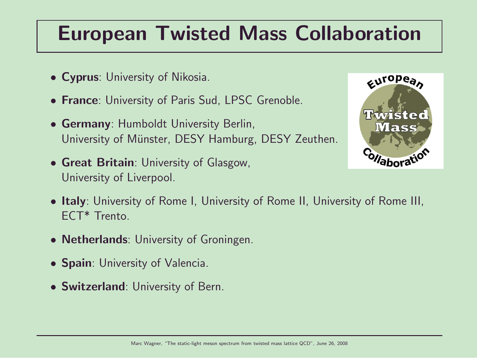### European Twisted Mass Collaboration

- Cyprus: University of Nikosia.
- France: University of Paris Sud, LPSC Grenoble.
- Germany: Humboldt University Berlin, University of Münster, DESY Hamburg, DESY Zeuthen.
- Great Britain: University of Glasgow, University of Liverpool.



- Italy: University of Rome I, University of Rome II, University of Rome III, ECT\* Trento.
- **Netherlands**: University of Groningen.
- Spain: University of Valencia.
- Switzerland: University of Bern.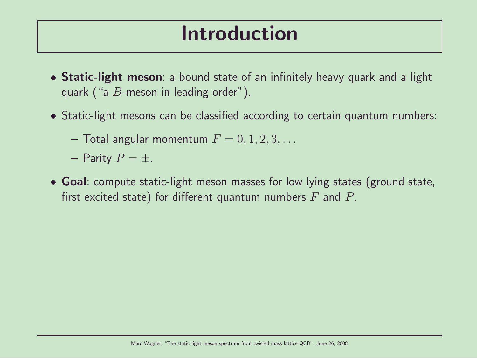### Introduction

- Static-light meson: a bound state of an infinitely heavy quark and a light quark ("a  $B$ -meson in leading order").
- Static-light mesons can be classified according to certain quantum numbers:
	- $-$  Total angular momentum  $F = 0, 1, 2, 3, \ldots$
	- Parity  $P = \pm$ .
- Goal: compute static-light meson masses for low lying states (ground state, first excited state) for different quantum numbers  $F$  and  $P$ .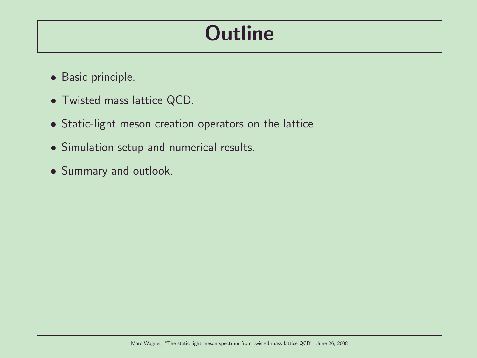## **Outline**

- Basic principle.
- Twisted mass lattice QCD.
- Static-light meson creation operators on the lattice.
- Simulation setup and numerical results.
- Summary and outlook.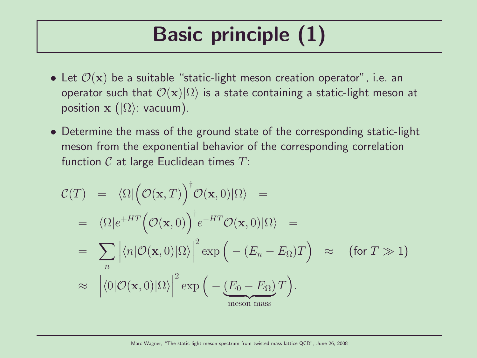# Basic principle (1)

- Let  $\mathcal{O}(\mathbf{x})$  be a suitable "static-light meson creation operator", i.e. an operator such that  $\mathcal{O}(\mathbf{x})|\Omega\rangle$  is a state containing a static-light meson at position  $\mathbf{x}$  ( $|\Omega\rangle$ : vacuum).
- Determine the mass of the ground state of the corresponding static-light meson from the exponential behavior of the corresponding correlation function  $C$  at large Euclidean times  $T$ :

$$
\mathcal{C}(T) = \langle \Omega | \big( \mathcal{O}(\mathbf{x}, T) \big)^{\dagger} \mathcal{O}(\mathbf{x}, 0) | \Omega \rangle =
$$
\n
$$
= \langle \Omega | e^{+HT} \big( \mathcal{O}(\mathbf{x}, 0) \big)^{\dagger} e^{-HT} \mathcal{O}(\mathbf{x}, 0) | \Omega \rangle =
$$
\n
$$
= \sum_{n} \left| \langle n | \mathcal{O}(\mathbf{x}, 0) | \Omega \rangle \right|^{2} \exp \big( - (E_{n} - E_{\Omega}) T \big) \approx \text{ (for } T \gg 1 \text{)}
$$
\n
$$
\approx \left| \langle 0 | \mathcal{O}(\mathbf{x}, 0) | \Omega \rangle \right|^{2} \exp \big( - \underbrace{(E_{0} - E_{\Omega}) T}_{\text{meson mass}} \big).
$$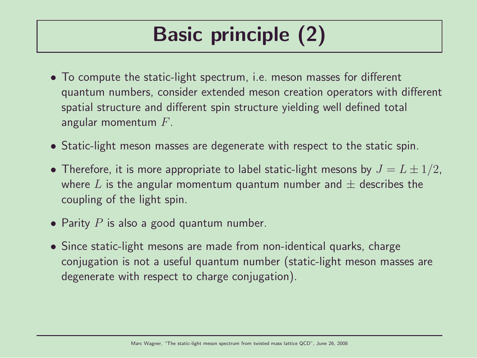# Basic principle (2)

- To compute the static-light spectrum, i.e. meson masses for different quantum numbers, consider extended meson creation operators with different spatial structure and different spin structure yielding well defined total angular momentum  $F$ .
- Static-light meson masses are degenerate with respect to the static spin.
- Therefore, it is more appropriate to label static-light mesons by  $J = L \pm 1/2$ , where L is the angular momentum quantum number and  $\pm$  describes the coupling of the light spin.
- Parity  $P$  is also a good quantum number.
- Since static-light mesons are made from non-identical quarks, charge conjugation is not a useful quantum number (static-light meson masses are degenerate with respect to charge conjugation).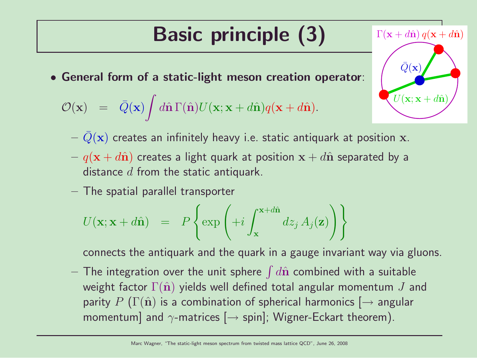# Basic principle (3)

• General form of a static-light meson creation operator:

$$
\mathcal{O}(\mathbf{x}) = \bar{Q}(\mathbf{x}) \int d\hat{\mathbf{n}} \Gamma(\hat{\mathbf{n}}) U(\mathbf{x}; \mathbf{x} + d\hat{\mathbf{n}}) q(\mathbf{x} + d\hat{\mathbf{n}}).
$$

 $-\bar{Q}(\mathbf{x})$  creates an infinitely heavy i.e. static antiquark at position x.

 $U(\mathbf{x}; \mathbf{x} + d\hat{\mathbf{n}})$ 

 $\Gamma(\mathbf{x} + d\hat{\mathbf{n}}) q(\mathbf{x} + d\hat{\mathbf{n}})$ 

 $\bar{Q}(\mathbf{x})$ 

- $q(x + d\hat{n})$  creates a light quark at position  $x + d\hat{n}$  separated by a distance  $d$  from the static antiquark.
- The spatial parallel transporter

$$
U(\mathbf{x}; \mathbf{x} + d\hat{\mathbf{n}}) = P\left\{\exp\left(+i\int_{\mathbf{x}}^{\mathbf{x} + d\hat{\mathbf{n}}} dz_j A_j(\mathbf{z})\right)\right\}
$$

connects the antiquark and the quark in a gauge invariant way via gluons.

 $-$  The integration over the unit sphere  $\int d\hat{\mathbf{n}}$  combined with a suitable weight factor  $\Gamma(\hat{\mathbf{n}})$  yields well defined total angular momentum J and parity P ( $\Gamma(\hat{\mathbf{n}})$  is a combination of spherical harmonics  $\rightarrow$  angular momentum] and  $\gamma$ -matrices  $[\rightarrow$  spin]; Wigner-Eckart theorem).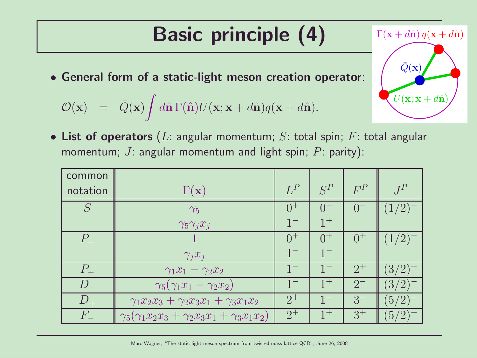# Basic principle (4)

• General form of a static-light meson creation operator:

$$
\mathcal{O}(\mathbf{x}) = \bar{Q}(\mathbf{x}) \int d\hat{\mathbf{n}} \Gamma(\hat{\mathbf{n}}) U(\mathbf{x}; \mathbf{x} + d\hat{\mathbf{n}}) q(\mathbf{x} + d\hat{\mathbf{n}}).
$$

• List of operators (L: angular momentum; S: total spin; F: total angular momentum; J: angular momentum and light spin; P: parity):

| common      |                                                                    |         |         |          |                                               |
|-------------|--------------------------------------------------------------------|---------|---------|----------|-----------------------------------------------|
| notation    | $\Gamma(\mathbf{x})$                                               | $L^P$   | $S^P$   | $F^P$    | $J^P$                                         |
|             | $\gamma_5$                                                         |         |         | $-0^{-}$ |                                               |
|             | $\gamma_5 \gamma_j x_j$                                            | $1 -$   | $1^+$   |          |                                               |
| $P_{\perp}$ |                                                                    | $0^{+}$ | $0^+$   | $0^{+}$  | (1/2)                                         |
|             | $\gamma_j x_j$                                                     | $1^{-}$ |         |          |                                               |
| $P_{\perp}$ | $\gamma_1 x_1 - \gamma_2 x_2$                                      |         |         | $2^{+}$  | $(3/2)^{+}$                                   |
| $D_{-}$     | $\gamma_5(\gamma_1x_1-\gamma_2x_2)$                                |         | $1^{+}$ | $2^{-}$  | (3/2)                                         |
| $D_{+}$     | $\gamma_1 x_2 x_3 + \gamma_2 x_3 x_1 + \gamma_3 x_1 x_2$           | $2^{+}$ |         | $3-$     | (5/2)                                         |
| $F_{-}$     | $\gamma_5(\gamma_1 x_2 x_3 + \gamma_2 x_3 x_1 + \gamma_3 x_1 x_2)$ | $2^+$   | $1^{+}$ | $3^{+}$  | 5 <sub>1</sub><br>$\mathcal{D}_{\mathcal{L}}$ |

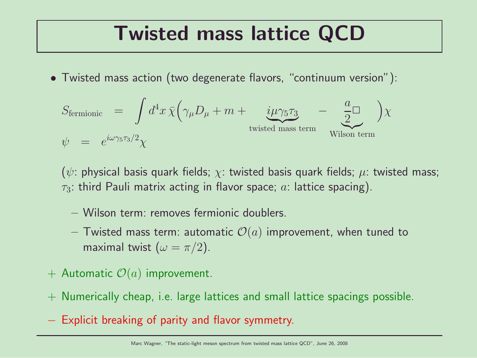### Twisted mass lattice QCD

• Twisted mass action (two degenerate flavors, "continuum version"):

$$
S_{\text{fermionic}} = \int d^4x \,\bar{\chi} \Big( \gamma_\mu D_\mu + m + \underbrace{i\mu \gamma_5 \tau_3}_{\text{twisted mass term}} - \underbrace{\frac{a}{2}}_{\text{Wilson term}} \Big) \chi
$$

( $\psi$ : physical basis quark fields;  $\chi$ : twisted basis quark fields;  $\mu$ : twisted mass;  $\tau_3$ : third Pauli matrix acting in flavor space; a: lattice spacing).

- Wilson term: removes fermionic doublers.
- Twisted mass term: automatic  $\mathcal{O}(a)$  improvement, when tuned to maximal twist  $(\omega = \pi/2)$ .
- + Automatic  $\mathcal{O}(a)$  improvement.
- + Numerically cheap, i.e. large lattices and small lattice spacings possible.
- − Explicit breaking of parity and flavor symmetry.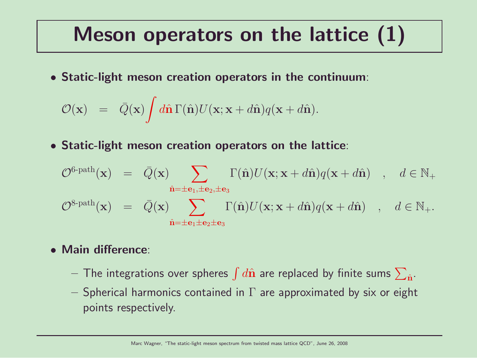### Meson operators on the lattice (1)

• Static-light meson creation operators in the continuum:

$$
\mathcal{O}(\mathbf{x}) = \bar{Q}(\mathbf{x}) \int d\hat{\mathbf{n}} \Gamma(\hat{\mathbf{n}}) U(\mathbf{x}; \mathbf{x} + d\hat{\mathbf{n}}) q(\mathbf{x} + d\hat{\mathbf{n}}).
$$

• Static-light meson creation operators on the lattice:

$$
\mathcal{O}^{\text{6-path}}(\mathbf{x}) = \bar{Q}(\mathbf{x}) \sum_{\hat{\mathbf{n}} = \pm \mathbf{e}_1, \pm \mathbf{e}_2, \pm \mathbf{e}_3} \Gamma(\hat{\mathbf{n}}) U(\mathbf{x}; \mathbf{x} + d\hat{\mathbf{n}}) q(\mathbf{x} + d\hat{\mathbf{n}}) , d \in \mathbb{N}_+
$$
  

$$
\mathcal{O}^{\text{8-path}}(\mathbf{x}) = \bar{Q}(\mathbf{x}) \sum_{\hat{\mathbf{n}} = \pm \mathbf{e}_1 \pm \mathbf{e}_2 \pm \mathbf{e}_3} \Gamma(\hat{\mathbf{n}}) U(\mathbf{x}; \mathbf{x} + d\hat{\mathbf{n}}) q(\mathbf{x} + d\hat{\mathbf{n}}) , d \in \mathbb{N}_+.
$$

#### • Main difference:

- $-$  The integrations over spheres  $\int d\hat{\bf n}$  are replaced by finite sums  $\sum_{\hat{\bf n}}.$
- Spherical harmonics contained in  $\Gamma$  are approximated by six or eight points respectively.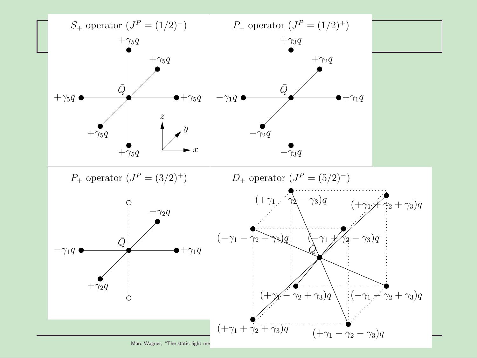

Marc Wagner, "The static-light me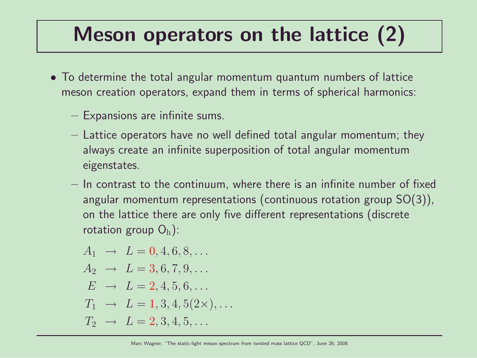## Meson operators on the lattice (2)

- To determine the total angular momentum quantum numbers of lattice meson creation operators, expand them in terms of spherical harmonics:
	- Expansions are infinite sums.
	- Lattice operators have no well defined total angular momentum; they always create an infinite superposition of total angular momentum eigenstates.
	- In contrast to the continuum, where there is an infinite number of fixed angular momentum representations (continuous rotation group SO(3)), on the lattice there are only five different representations (discrete rotation group  $O_h$ ):

$$
A_1 \rightarrow L = 0, 4, 6, 8, ...
$$
  
\n
$$
A_2 \rightarrow L = 3, 6, 7, 9, ...
$$
  
\n
$$
E \rightarrow L = 2, 4, 5, 6, ...
$$
  
\n
$$
T_1 \rightarrow L = 1, 3, 4, 5(2 \times), ...
$$
  
\n
$$
T_2 \rightarrow L = 2, 3, 4, 5, ...
$$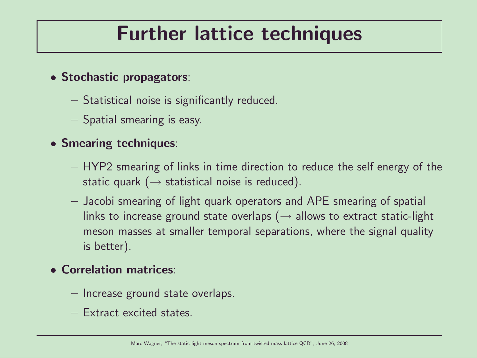### Further lattice techniques

- Stochastic propagators:
	- Statistical noise is significantly reduced.
	- Spatial smearing is easy.

#### • Smearing techniques:

- HYP2 smearing of links in time direction to reduce the self energy of the static quark ( $\rightarrow$  statistical noise is reduced).
- Jacobi smearing of light quark operators and APE smearing of spatial links to increase ground state overlaps ( $\rightarrow$  allows to extract static-light meson masses at smaller temporal separations, where the signal quality is better).

#### • Correlation matrices:

- Increase ground state overlaps.
- Extract excited states.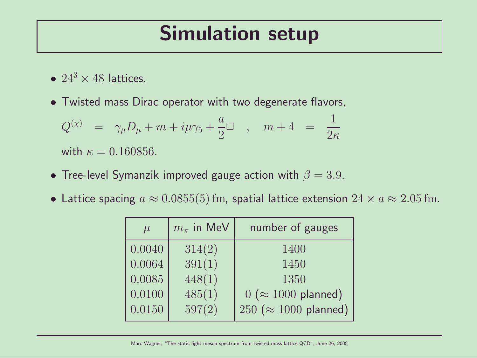#### Simulation setup

- $24^3 \times 48$  lattices.
- Twisted mass Dirac operator with two degenerate flavors,

$$
\begin{array}{rcl} Q^{(\chi)}&=&\gamma_\mu D_\mu+m+i\mu\gamma_5+\frac{a}{2}\Box\quad,\quad m+4&=&\frac{1}{2\kappa}\\[2mm] {\rm with}\ \kappa=0.160856. \end{array}
$$

- Tree-level Symanzik improved gauge action with  $\beta = 3.9$ .
- Lattice spacing  $a \approx 0.0855(5)$  fm, spatial lattice extension  $24 \times a \approx 2.05$  fm.

| $\mu$  | $m_{\pi}$ in MeV | number of gauges              |  |
|--------|------------------|-------------------------------|--|
| 0.0040 | 314(2)           | 1400                          |  |
| 0.0064 | 391(1)           | 1450                          |  |
| 0.0085 | 448(1)           | 1350                          |  |
| 0.0100 | 485(1)           | $0 \approx 1000$ planned)     |  |
| 0.0150 | 597(2)           | 250 ( $\approx$ 1000 planned) |  |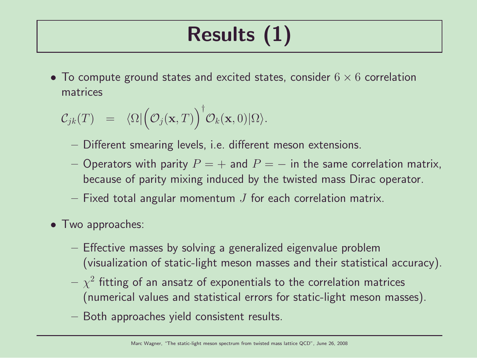# Results (1)

• To compute ground states and excited states, consider  $6 \times 6$  correlation matrices

$$
C_{jk}(T) = \langle \Omega | \big( \mathcal{O}_j(\mathbf{x}, T) \big)^{\dagger} \mathcal{O}_k(\mathbf{x}, 0) | \Omega \rangle.
$$

- Different smearing levels, i.e. different meson extensions.
- Operators with parity  $P = +$  and  $P = -$  in the same correlation matrix, because of parity mixing induced by the twisted mass Dirac operator.
- Fixed total angular momentum  $J$  for each correlation matrix.
- Two approaches:
	- Effective masses by solving a generalized eigenvalue problem (visualization of static-light meson masses and their statistical accuracy).
	- $\chi^2$  fitting of an ansatz of exponentials to the correlation matrices (numerical values and statistical errors for static-light meson masses).
	- Both approaches yield consistent results.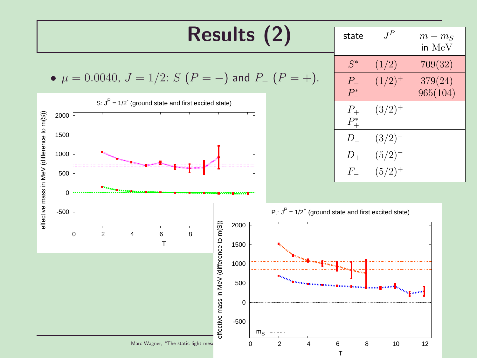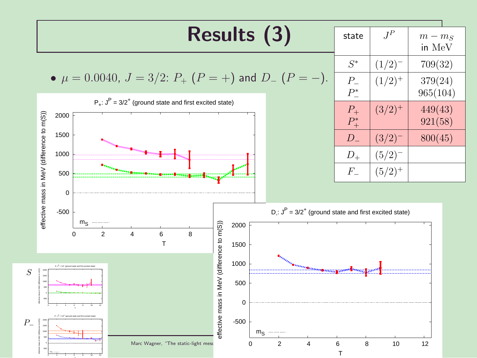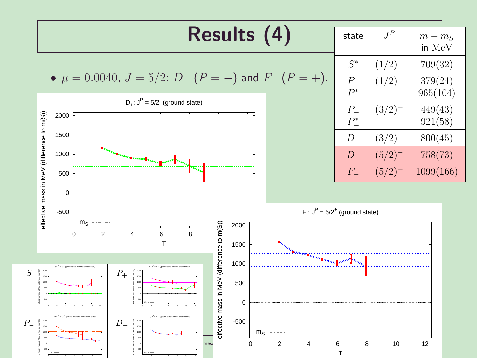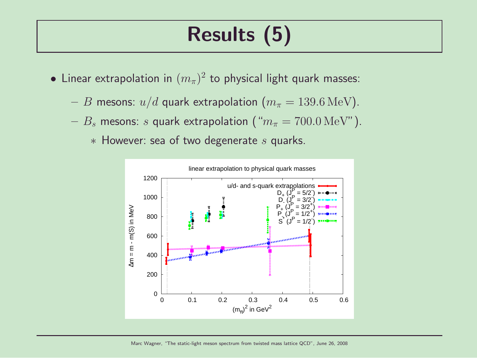## Results (5)

- $\bullet$  Linear extrapolation in  $(m_\pi)^2$  to physical light quark masses:
	- B mesons:  $u/d$  quark extrapolation  $(m_\pi = 139.6 \,\text{MeV})$ .
	- $B_s$  mesons: s quark extrapolation (" $m_\pi = 700.0 \,\text{MeV}$ ").
		- $*$  However: sea of two degenerate  $s$  quarks.

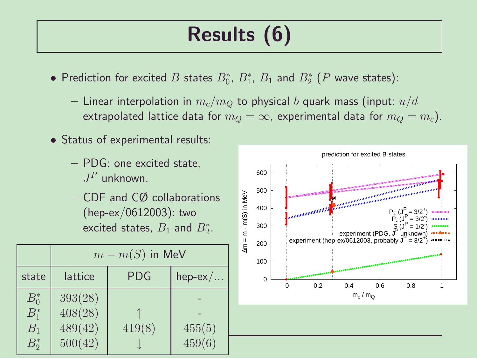# Results (6)

- $\bullet$  Prediction for excited  $B$  states  $B^*_0$ ,  $B^*_1$ ,  $B_1$  and  $B^*_2$   $(P$  wave states):
	- Linear interpolation in  $m_c/m_O$  to physical b quark mass (input:  $u/d$ extrapolated lattice data for  $m_Q = \infty$ , experimental data for  $m_Q = m_c$ ).
- Status of experimental results:
	- PDG: one excited state,  $J^P$  unknown.
	- CDF and CØ collaborations (hep-ex/0612003): two excited states,  $B_1$  and  $B_2^*$ .

|                                        | $m - m(S)$ in MeV                        |            |                  |  |
|----------------------------------------|------------------------------------------|------------|------------------|--|
| state                                  | lattice                                  | <b>PDG</b> | $hep-ex/$        |  |
| $B_0^*$<br>$B_1^*$<br>$B_1$<br>$B_2^*$ | 393(28)<br>408(28)<br>489(42)<br>500(42) | 419(8)     | 455(5)<br>459(6) |  |



prediction for excited B states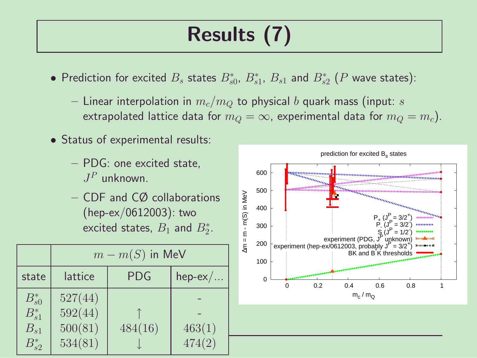# Results (7)

- Prediction for excited  $B_s$  states  $B_{s0}^*$ ,  $B_{s1}^*$ ,  $B_{s1}$  and  $B_{s2}^*$  ( $P$  wave states):
	- Linear interpolation in  $m_c/m_O$  to physical b quark mass (input: s extrapolated lattice data for  $m_Q = \infty$ , experimental data for  $m_Q = m_c$ ).
- Status of experimental results:
	- PDG: one excited state,  $J^P$  unknown.
	- CDF and CØ collaborations (hep-ex/0612003): two excited states,  $B_1$  and  $B_2^*$ .

|                                                    | $m - m(S)$ in MeV                        |            |                  |  |
|----------------------------------------------------|------------------------------------------|------------|------------------|--|
| state                                              | lattice                                  | <b>PDG</b> | $hep-ex/$        |  |
| $B_{s0}^*$<br>$B_{s1}^*$<br>$B_{s1}$<br>$B_{s2}^*$ | 527(44)<br>592(44)<br>500(81)<br>534(81) | 484(16)    | 463(1)<br>474(2) |  |



prediction for excited B<sub>s</sub> states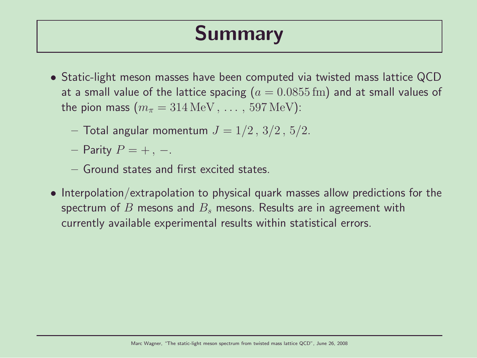## Summary

- Static-light meson masses have been computed via twisted mass lattice QCD at a small value of the lattice spacing ( $a = 0.0855$  fm) and at small values of the pion mass  $(m_\pi = 314 \,\text{MeV}, \ldots, 597 \,\text{MeV})$ :
	- Total angular momentum  $J = 1/2, 3/2, 5/2$ .
	- Parity  $P = +$ , –.
	- Ground states and first excited states.
- Interpolation/extrapolation to physical quark masses allow predictions for the spectrum of B mesons and  $B_s$  mesons. Results are in agreement with currently available experimental results within statistical errors.